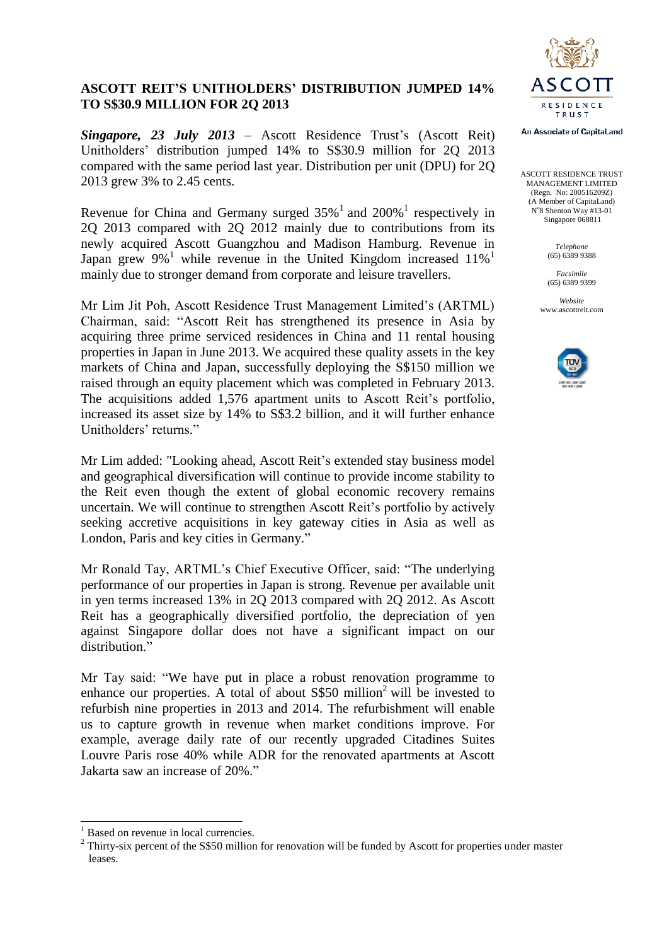

## **ASCOTT REIT'S UNITHOLDERS' DISTRIBUTION JUMPED 14% TO S\$30.9 MILLION FOR 2Q 2013**

*Singapore, 23 July 2013* – Ascott Residence Trust's (Ascott Reit) Unitholders' distribution jumped 14% to S\$30.9 million for 2Q 2013 compared with the same period last year. Distribution per unit (DPU) for 2Q 2013 grew 3% to 2.45 cents.

Revenue for China and Germany surged  $35\%$ <sup>1</sup> and  $200\%$ <sup>1</sup> respectively in 2Q 2013 compared with 2Q 2012 mainly due to contributions from its newly acquired Ascott Guangzhou and Madison Hamburg. Revenue in Japan grew  $9\%$ <sup>1</sup> while revenue in the United Kingdom increased  $11\%$ <sup>1</sup> mainly due to stronger demand from corporate and leisure travellers.

Mr Lim Jit Poh, Ascott Residence Trust Management Limited's (ARTML) Chairman, said: "Ascott Reit has strengthened its presence in Asia by acquiring three prime serviced residences in China and 11 rental housing properties in Japan in June 2013. We acquired these quality assets in the key markets of China and Japan, successfully deploying the S\$150 million we raised through an equity placement which was completed in February 2013. The acquisitions added 1,576 apartment units to Ascott Reit's portfolio, increased its asset size by 14% to S\$3.2 billion, and it will further enhance Unitholders' returns."

Mr Lim added: "Looking ahead, Ascott Reit's extended stay business model and geographical diversification will continue to provide income stability to the Reit even though the extent of global economic recovery remains uncertain. We will continue to strengthen Ascott Reit's portfolio by actively seeking accretive acquisitions in key gateway cities in Asia as well as London, Paris and key cities in Germany."

Mr Ronald Tay, ARTML's Chief Executive Officer, said: "The underlying performance of our properties in Japan is strong. Revenue per available unit in yen terms increased 13% in 2Q 2013 compared with 2Q 2012. As Ascott Reit has a geographically diversified portfolio, the depreciation of yen against Singapore dollar does not have a significant impact on our distribution<sup>"</sup>

Mr Tay said: "We have put in place a robust renovation programme to enhance our properties. A total of about  $S$50 million<sup>2</sup> will be invested to$ refurbish nine properties in 2013 and 2014. The refurbishment will enable us to capture growth in revenue when market conditions improve. For example, average daily rate of our recently upgraded Citadines Suites Louvre Paris rose 40% while ADR for the renovated apartments at Ascott Jakarta saw an increase of 20%."

 $\overline{a}$ 



ASCOTT RESIDENCE TRUST MANAGEMENT LIMITED (Regn. No: 200516209Z) (A Member of CapitaLand) N°8 Shenton Way #13-01 Singapore 068811

> *Telephone* (65) 6389 9388

*Facsimile* (65) 6389 9399

*Website* www.ascottreit.com



Based on revenue in local currencies.

<sup>&</sup>lt;sup>2</sup> Thirty-six percent of the S\$50 million for renovation will be funded by Ascott for properties under master leases.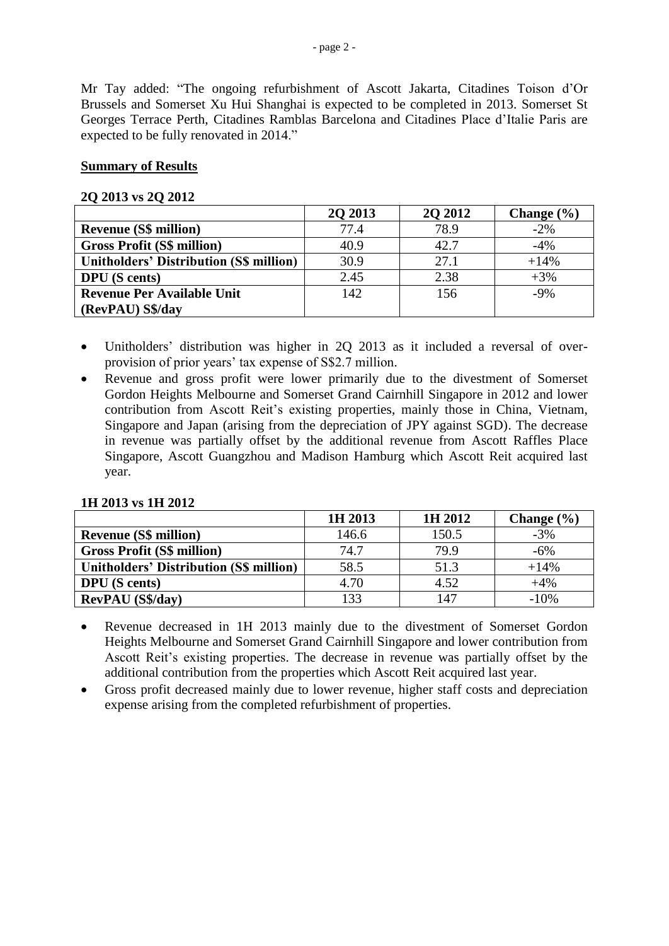Mr Tay added: "The ongoing refurbishment of Ascott Jakarta, Citadines Toison d'Or Brussels and Somerset Xu Hui Shanghai is expected to be completed in 2013. Somerset St Georges Terrace Perth, Citadines Ramblas Barcelona and Citadines Place d'Italie Paris are expected to be fully renovated in 2014."

### **Summary of Results**

#### **2Q 2013 vs 2Q 2012**

|                                                | 2Q 2013 | 2Q 2012 | Change $(\% )$ |
|------------------------------------------------|---------|---------|----------------|
| <b>Revenue (S\$ million)</b>                   | 77.4    | 78.9    | $-2\%$         |
| <b>Gross Profit (S\$ million)</b>              | 40.9    | 42.7    | $-4\%$         |
| <b>Unitholders' Distribution (S\$ million)</b> | 30.9    | 27.1    | $+14%$         |
| <b>DPU</b> (S cents)                           | 2.45    | 2.38    | $+3%$          |
| <b>Revenue Per Available Unit</b>              | 142     | 156     | $-9%$          |
| (RevPAU) S\$/day                               |         |         |                |

- Unitholders' distribution was higher in 2Q 2013 as it included a reversal of overprovision of prior years' tax expense of S\$2.7 million.
- Revenue and gross profit were lower primarily due to the divestment of Somerset Gordon Heights Melbourne and Somerset Grand Cairnhill Singapore in 2012 and lower contribution from Ascott Reit's existing properties, mainly those in China, Vietnam, Singapore and Japan (arising from the depreciation of JPY against SGD). The decrease in revenue was partially offset by the additional revenue from Ascott Raffles Place Singapore, Ascott Guangzhou and Madison Hamburg which Ascott Reit acquired last year.

| 1H 2013 vs 1H 2012 |  |  |  |
|--------------------|--|--|--|
|--------------------|--|--|--|

|                                                | 1H 2013 | 1H 2012 | Change $(\% )$ |
|------------------------------------------------|---------|---------|----------------|
| <b>Revenue (S\$ million)</b>                   | 146.6   | 150.5   | $-3%$          |
| <b>Gross Profit (S\$ million)</b>              | 74.7    | 79.9    | $-6\%$         |
| <b>Unitholders' Distribution (S\$ million)</b> | 58.5    | 51.3    | $+14%$         |
| <b>DPU</b> (S cents)                           | 4.70    | 4.52    | $+4%$          |
| <b>RevPAU</b> (S\$/day)                        | 133     | 147     | $-10%$         |

- Revenue decreased in 1H 2013 mainly due to the divestment of Somerset Gordon Heights Melbourne and Somerset Grand Cairnhill Singapore and lower contribution from Ascott Reit's existing properties. The decrease in revenue was partially offset by the additional contribution from the properties which Ascott Reit acquired last year.
- Gross profit decreased mainly due to lower revenue, higher staff costs and depreciation expense arising from the completed refurbishment of properties.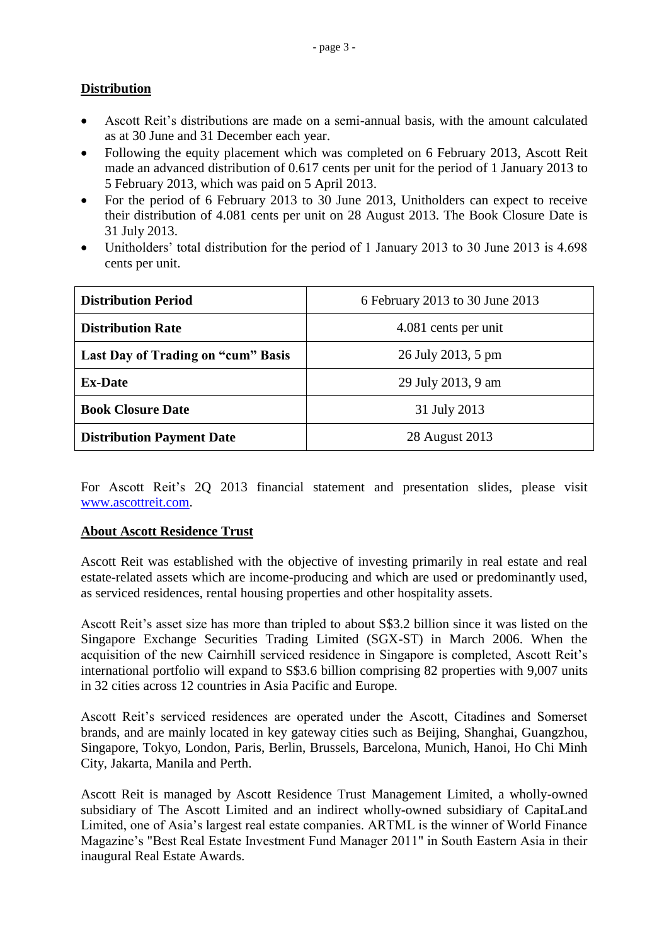# **Distribution**

- Ascott Reit's distributions are made on a semi-annual basis, with the amount calculated as at 30 June and 31 December each year.
- Following the equity placement which was completed on 6 February 2013, Ascott Reit made an advanced distribution of 0.617 cents per unit for the period of 1 January 2013 to 5 February 2013, which was paid on 5 April 2013.
- For the period of 6 February 2013 to 30 June 2013, Unitholders can expect to receive their distribution of 4.081 cents per unit on 28 August 2013. The Book Closure Date is 31 July 2013.
- Unitholders' total distribution for the period of 1 January 2013 to 30 June 2013 is 4.698 cents per unit.

| <b>Distribution Period</b>         | 6 February 2013 to 30 June 2013 |  |
|------------------------------------|---------------------------------|--|
| <b>Distribution Rate</b>           | 4.081 cents per unit            |  |
| Last Day of Trading on "cum" Basis | 26 July 2013, 5 pm              |  |
| <b>Ex-Date</b>                     | 29 July 2013, 9 am              |  |
| <b>Book Closure Date</b>           | 31 July 2013                    |  |
| <b>Distribution Payment Date</b>   | 28 August 2013                  |  |

For Ascott Reit's 2Q 2013 financial statement and presentation slides, please visit [www.ascottreit.com.](http://www.ascottreit.com/)

## **About Ascott Residence Trust**

Ascott Reit was established with the objective of investing primarily in real estate and real estate-related assets which are income-producing and which are used or predominantly used, as serviced residences, rental housing properties and other hospitality assets.

Ascott Reit's asset size has more than tripled to about S\$3.2 billion since it was listed on the Singapore Exchange Securities Trading Limited (SGX-ST) in March 2006. When the acquisition of the new Cairnhill serviced residence in Singapore is completed, Ascott Reit's international portfolio will expand to S\$3.6 billion comprising 82 properties with 9,007 units in 32 cities across 12 countries in Asia Pacific and Europe.

Ascott Reit's serviced residences are operated under the Ascott, Citadines and Somerset brands, and are mainly located in key gateway cities such as Beijing, Shanghai, Guangzhou, Singapore, Tokyo, London, Paris, Berlin, Brussels, Barcelona, Munich, Hanoi, Ho Chi Minh City, Jakarta, Manila and Perth.

Ascott Reit is managed by Ascott Residence Trust Management Limited, a wholly-owned subsidiary of The Ascott Limited and an indirect wholly-owned subsidiary of CapitaLand Limited, one of Asia's largest real estate companies. ARTML is the winner of World Finance Magazine's "Best Real Estate Investment Fund Manager 2011" in South Eastern Asia in their inaugural Real Estate Awards.